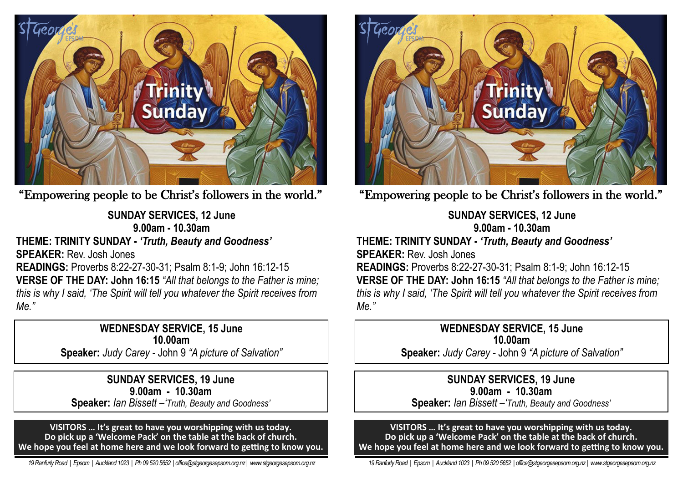

"Empowering people to be Christ's followers in the world."

**SUNDAY SERVICES, 12 June 9.00am - 10.30am THEME: TRINITY SUNDAY -** *'Truth, Beauty and Goodness'* **SPEAKER:** Rev. Josh Jones **READINGS:** Proverbs 8:22-27-30-31; Psalm 8:1-9; John 16:12-15 **VERSE OF THE DAY: John 16:15** *"All that belongs to the Father is mine; this is why I said, 'The Spirit will tell you whatever the Spirit receives from Me."*

> **WEDNESDAY SERVICE, 15 June 10.00am Speaker:** *Judy Carey -* John 9 *"A picture of Salvation"*

**SUNDAY SERVICES, 19 June 9.00am - 10.30am Speaker:** *Ian Bissett –'Truth, Beauty and Goodness'*

**VISITORS … It's great to have you worshipping with us today. Do pick up a 'Welcome Pack' on the table at the back of church. We hope you feel at home here and we look forward to getting to know you.**

 *19 Ranfurly Road | Epsom | Auckland 1023 | Ph 09 520 5652 | office@stgeorgesepsom.org.nz | www.stgeorgesepsom.org.nz* 



"Empowering people to be Christ's followers in the world."

**SUNDAY SERVICES, 12 June 9.00am - 10.30am THEME: TRINITY SUNDAY -** *'Truth, Beauty and Goodness'* **SPEAKER:** Rev. Josh Jones **READINGS:** Proverbs 8:22-27-30-31; Psalm 8:1-9; John 16:12-15 **VERSE OF THE DAY: John 16:15** *"All that belongs to the Father is mine; this is why I said, 'The Spirit will tell you whatever the Spirit receives from Me."*

> **WEDNESDAY SERVICE, 15 June 10.00am Speaker:** *Judy Carey -* John 9 *"A picture of Salvation"*

**SUNDAY SERVICES, 19 June 9.00am - 10.30am Speaker:** *Ian Bissett –'Truth, Beauty and Goodness'*

**VISITORS … It's great to have you worshipping with us today. Do pick up a 'Welcome Pack' on the table at the back of church. We hope you feel at home here and we look forward to getting to know you.**

 *19 Ranfurly Road | Epsom | Auckland 1023 | Ph 09 520 5652 | office@stgeorgesepsom.org.nz | www.stgeorgesepsom.org.nz*